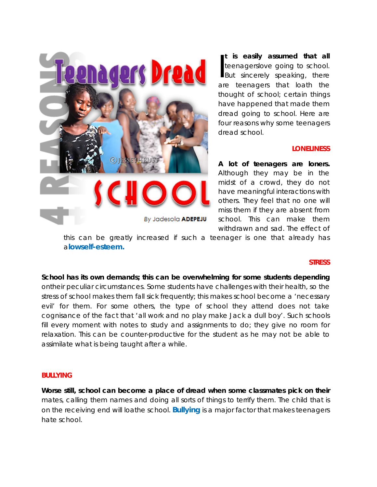

**t is easily assumed that all**  teenagerslove going to school. t is easily assumed that all<br>teenagerslove going to school.<br>But sincerely speaking, there are teenagers that loath the thought of school; certain things have happened that made them dread going to school. Here are four reasons why some teenagers dread school.

## **LONELINESS**

**A lot of teenagers are loners.**  Although they may be in the midst of a crowd, they do not have meaningful interactions with others. They feel that no one will miss them if they are absent from school. This can make them withdrawn and sad. The effect of

this can be greatly increased if such a teenager is one that already has a**[lowself-esteem](http://www.jessethrust.com/five-signs-of-low-self-esteem-in-a-lady.pdf).**

## **STRESS**

**School has its own demands; this can be overwhelming for some students depending**  ontheir peculiar circumstances. Some students have challenges with their health, so the stress of school makes them fall sick frequently; this makes school become a 'necessary evil' for them. For some others, the type of school they attend does not take cognisance of the fact that 'all work and no play make Jack a dull boy'. Such schools fill every moment with notes to study and assignments to do; they give no room for relaxation. This can be counter-productive for the student as he may not be able to assimilate what is being taught after a while.

#### **BULLYING**

**Worse still, school can become a place of dread when some classmates pick on their**  mates, calling them names and doing all sorts of things to terrify them. The child that is on the receiving end will loathe school. **[Bullying](http://www.jessethrust.com/6-things-every-boy-must-know-about-peer-pressure.pdf)** is a major factor that makes teenagers hate school.